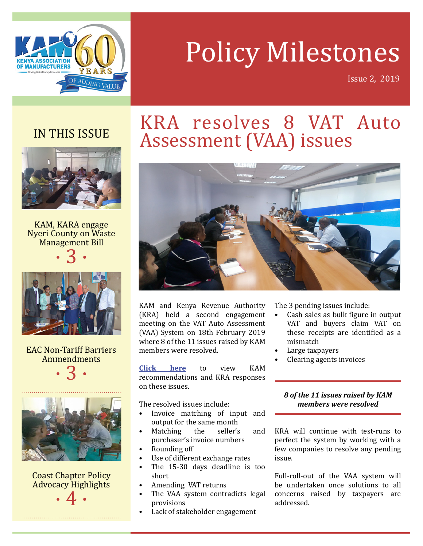

# Policy Milestones

Issue 2, 2019

### IN THIS ISSUE



KAM, KARA engage Nyeri County on Waste Management Bill

 $\cdot$  3  $\cdot$ 



EAC Non-Tariff Barriers Ammendments





Coast Chapter Policy Advocacy Highlights

 $\cdot$  4  $\cdot$ 

## KRA resolves 8 VAT Auto Assessment (VAA) issues



KAM and Kenya Revenue Authority (KRA) held a second engagement meeting on the VAT Auto Assessment (VAA) System on 18th February 2019 where 8 of the 11 issues raised by KAM members were resolved.

**[Click here](https://drive.google.com/file/d/0B2fBx9_VCj3QaW5PaHVISkp2VjZLbmxNTXJIWmNCLTloMVRr/view)** to view KAM recommendations and KRA responses on these issues.

The resolved issues include:

- Invoice matching of input and output for the same month<br>Matching the seller's
- Matching the seller's and purchaser's invoice numbers
- Rounding off
- Use of different exchange rates
- The 15-30 days deadline is too short
- Amending VAT returns
- The VAA system contradicts legal provisions
- Lack of stakeholder engagement

The 3 pending issues include:

- Cash sales as bulk figure in output VAT and buyers claim VAT on these receipts are identified as a mismatch
- Large taxpayers
- Clearing agents invoices

### *8 of the 11 issues raised by KAM members were resolved*

KRA will continue with test-runs to perfect the system by working with a few companies to resolve any pending issue.

Full-roll-out of the VAA system will be undertaken once solutions to all concerns raised by taxpayers are addressed.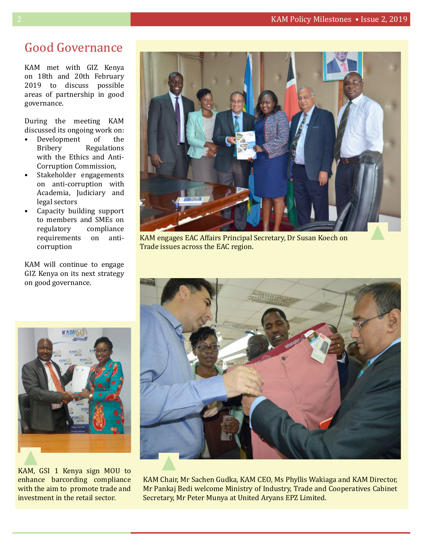### Good Governance

KAM met with GIZ Kenya on 18th and 20th February 2019 to discuss possible areas of partnership in good governance.

During the meeting KAM discussed its ongoing work on:<br>• Development of the

- Development<br>Bribery Regulations with the Ethics and Anti-Corruption Commission,
- Stakeholder engagements on anti-corruption with Academia, Judiciary and legal sectors
- Capacity building support to members and SMEs on compliance<br>on antirequirements on corruption

KAM will continue to engage GIZ Kenya on its next strategy on good governance.



KAM engages EAC Affairs Principal Secretary, Dr Susan Koech on Trade issues across the EAC region.



KAM, GSI 1 Kenya sign MOU to enhance barcording compliance with the aim to promote trade and investment in the retail sector.



KAM Chair, Mr Sachen Gudka, KAM CEO, Ms Phyllis Wakiaga and KAM Director, Mr Pankaj Bedi welcome Ministry of Industry, Trade and Cooperatives Cabinet Secretary, Mr Peter Munya at United Aryans EPZ Limited.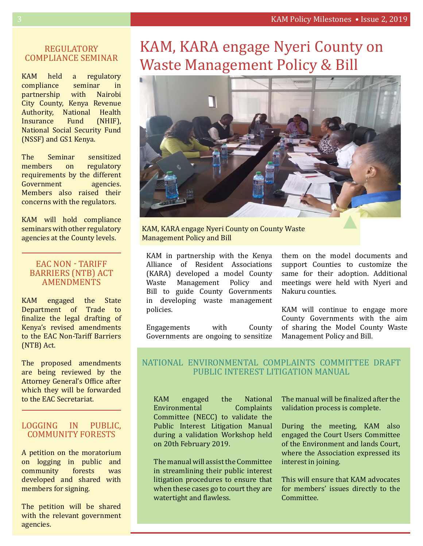### REGULATORY COMPLIANCE SEMINAR

KAM held a regulatory<br>compliance seminar in compliance seminar in<br>
partnership with Nairobi partnership City County, Kenya Revenue Authority, National Health<br>Insurance Fund (NHIF), **Insurance** National Social Security Fund (NSSF) and GS1 Kenya.

The Seminar sensitized<br>members on regulatory members on requirements by the different<br>Government agencies. Government Members also raised their concerns with the regulators.

KAM will hold compliance seminars with other regulatory agencies at the County levels.

#### EAC NON - TARIFF BARRIERS (NTB) ACT AMENDMENTS

KAM engaged the State Department of Trade to finalize the legal drafting of Kenya's revised amendments to the EAC Non-Tariff Barriers (NTB) Act.

The proposed amendments are being reviewed by the Attorney General's Office after which they will be forwarded to the EAC Secretariat.

### LOGGING IN PUBLIC, COMMUNITY FORESTS

A petition on the moratorium on logging in public and<br>community forests was community developed and shared with members for signing.

The petition will be shared with the relevant government agencies.

### KAM, KARA engage Nyeri County on Waste Management Policy & Bill



KAM, KARA engage Nyeri County on County Waste Management Policy and Bill

KAM in partnership with the Kenya Alliance of Resident Associations (KARA) developed a model County<br>Waste Management Policy and Management Bill to guide County Governments in developing waste management policies.

Engagements with County Governments are ongoing to sensitize them on the model documents and support Counties to customize the same for their adoption. Additional meetings were held with Nyeri and Nakuru counties.

KAM will continue to engage more County Governments with the aim of sharing the Model County Waste Management Policy and Bill.

### NATIONAL ENVIRONMENTAL COMPLAINTS COMMITTEE DRAFT PUBLIC INTEREST LITIGATION MANUAL

KAM engaged the National<br>Environmental Complaints Environmental Committee (NECC) to validate the Public Interest Litigation Manual during a validation Workshop held on 20th February 2019.

The manual will assist the Committee in streamlining their public interest litigation procedures to ensure that when these cases go to court they are watertight and flawless.

The manual will be finalized after the validation process is complete.

During the meeting, KAM also engaged the Court Users Committee of the Environment and lands Court, where the Association expressed its interest in joining.

This will ensure that KAM advocates for members' issues directly to the Committee.